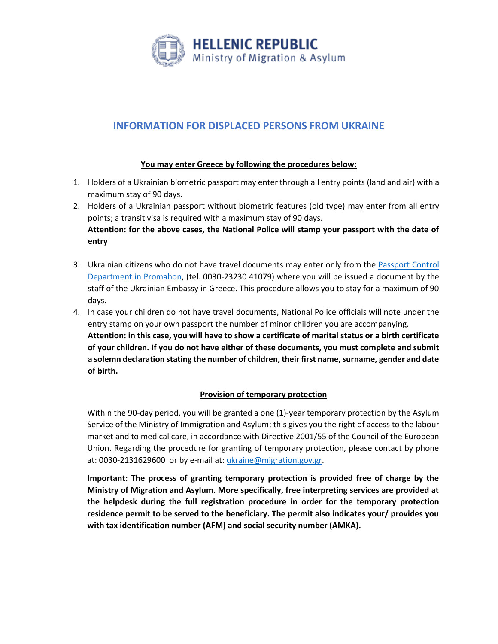

# **INFORMATION FOR DISPLACED PERSONS FROM UKRAINE**

### **You may enter Greece by following the procedures below:**

- 1. Holders of a Ukrainian biometric passport may enter through all entry points (land and air) with a maximum stay of 90 days.
- 2. Holders of a Ukrainian passport without biometric features (old type) may enter from all entry points; a transit visa is required with a maximum stay of 90 days. **Attention: for the above cases, the National Police will stamp your passport with the date of entry**
- 3. Ukrainian citizens who do not have travel documents may enter only from the [Passport Control](http://www.astynomia.gr/index.php?option=ozo_content&perform=view&id=980&Itemid=96&lang)  [Department in Promahon,](http://www.astynomia.gr/index.php?option=ozo_content&perform=view&id=980&Itemid=96&lang) (tel. 0030-23230 41079) where you will be issued a document by the staff of the Ukrainian Embassy in Greece. This procedure allows you to stay for a maximum of 90 days.
- 4. In case your children do not have travel documents, National Police officials will note under the entry stamp on your own passport the number of minor children you are accompanying. **Attention: in this case, you will have to show a certificate of marital status or a birth certificate of your children. If you do not have either of these documents, you must complete and submit a solemn declaration stating the number of children, their first name, surname, gender and date of birth.**

## **Provision of temporary protection**

Within the 90-day period, you will be granted a one (1)-year temporary protection by the Asylum Service of the Ministry of Immigration and Asylum; this gives you the right of access to the labour market and to medical care, in accordance with Directive 2001/55 of the Council of the European Union. Regarding the procedure for granting of temporary protection, please contact by phone at: 0030-2131629600 or by e-mail at: *ukraine@migration.gov.gr.* 

**Important: The process of granting temporary protection is provided free of charge by the Ministry of Migration and Asylum. More specifically, free interpreting services are provided at the helpdesk during the full registration procedure in order for the temporary protection residence permit to be served to the beneficiary. The permit also indicates your/ provides you with tax identification number (AFM) and social security number (AMKA).**